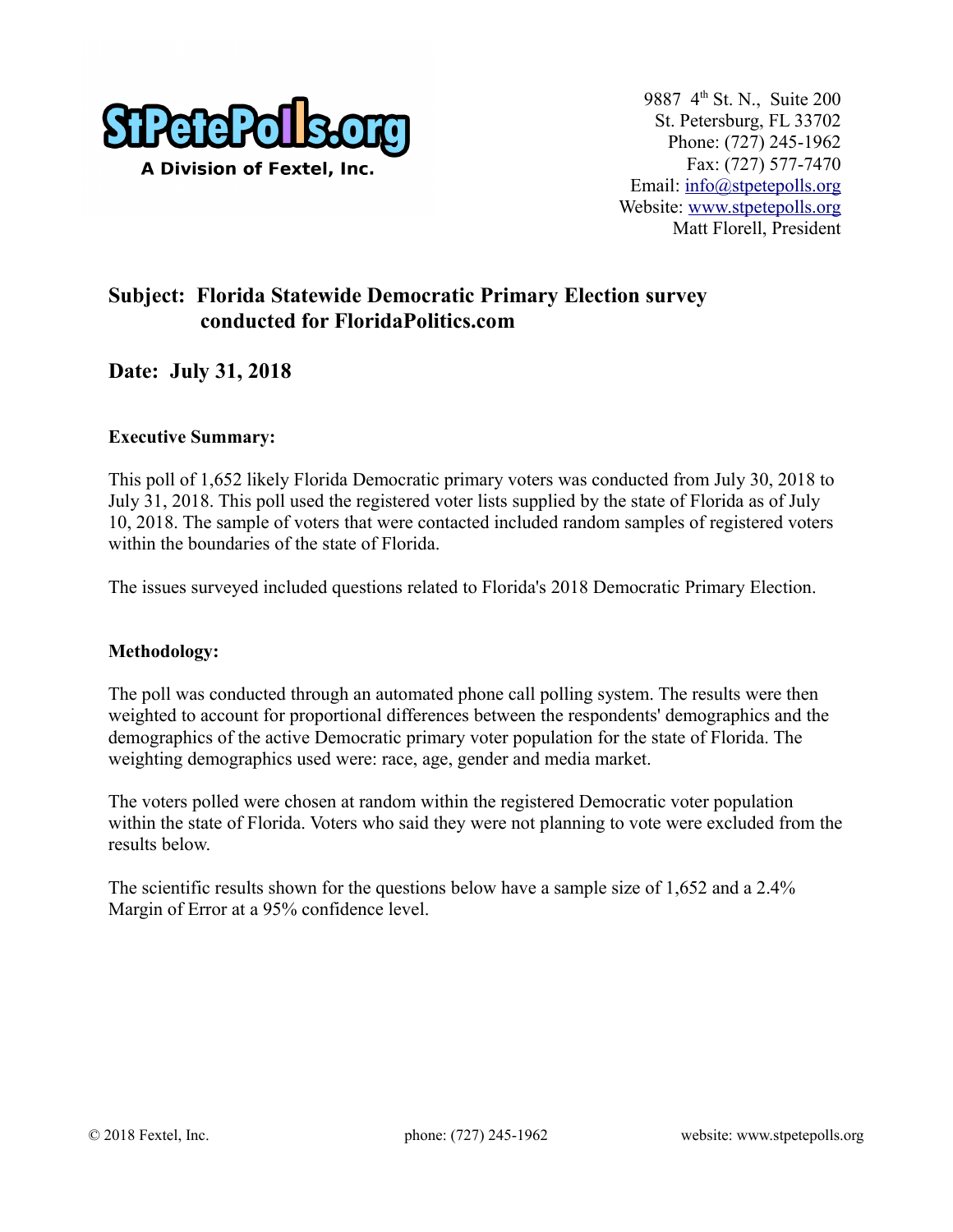

## **Subject: Florida Statewide Democratic Primary Election survey conducted for FloridaPolitics.com**

## **Date: July 31, 2018**

### **Executive Summary:**

This poll of 1,652 likely Florida Democratic primary voters was conducted from July 30, 2018 to July 31, 2018. This poll used the registered voter lists supplied by the state of Florida as of July 10, 2018. The sample of voters that were contacted included random samples of registered voters within the boundaries of the state of Florida.

The issues surveyed included questions related to Florida's 2018 Democratic Primary Election.

#### **Methodology:**

The poll was conducted through an automated phone call polling system. The results were then weighted to account for proportional differences between the respondents' demographics and the demographics of the active Democratic primary voter population for the state of Florida. The weighting demographics used were: race, age, gender and media market.

The voters polled were chosen at random within the registered Democratic voter population within the state of Florida. Voters who said they were not planning to vote were excluded from the results below.

The scientific results shown for the questions below have a sample size of 1,652 and a 2.4% Margin of Error at a 95% confidence level.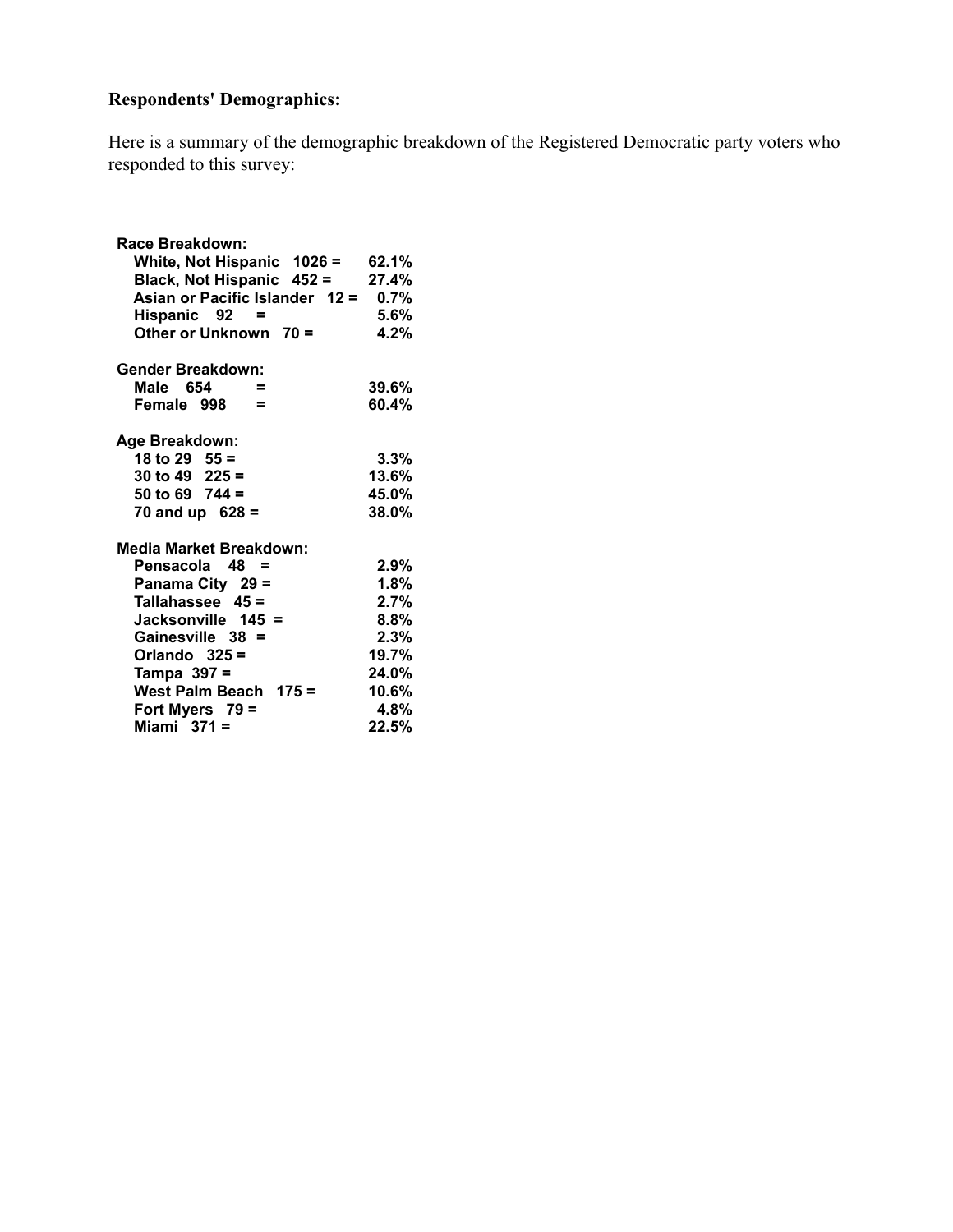# **Respondents' Demographics:**

Here is a summary of the demographic breakdown of the Registered Democratic party voters who responded to this survey:

| Race Breakdown:                |         |
|--------------------------------|---------|
| White, Not Hispanic 1026 =     | 62.1%   |
| Black, Not Hispanic 452 =      | 27.4%   |
| Asian or Pacific Islander 12 = | 0.7%    |
| Hispanic 92<br>$=$             | $5.6\%$ |
| Other or Unknown 70 =          | 4.2%    |
| <b>Gender Breakdown:</b>       |         |
| Male 654<br>$\equiv$           | 39.6%   |
| Female 998<br>$\equiv$         | 60.4%   |
|                                |         |
| Age Breakdown:                 |         |
| 18 to 29 $55 =$                | $3.3\%$ |
| 30 to 49 $225 =$               | 13.6%   |
| 50 to 69 $744 =$               | 45.0%   |
| 70 and up $628 =$              | 38.0%   |
| <b>Media Market Breakdown:</b> |         |
| Pensacola 48 =                 | $2.9\%$ |
| Panama City 29 =               | 1.8%    |
| Tallahassee $45 =$             | 2.7%    |
| Jacksonville 145 =             | 8.8%    |
| Gainesville 38 =               | 2.3%    |
| Orlando $325 =$                | 19.7%   |
| Tampa 397 =                    | 24.0%   |
| West Palm Beach 175 =          | 10.6%   |
| Fort Myers 79 =                | 4.8%    |
| Miami $371 =$                  | 22.5%   |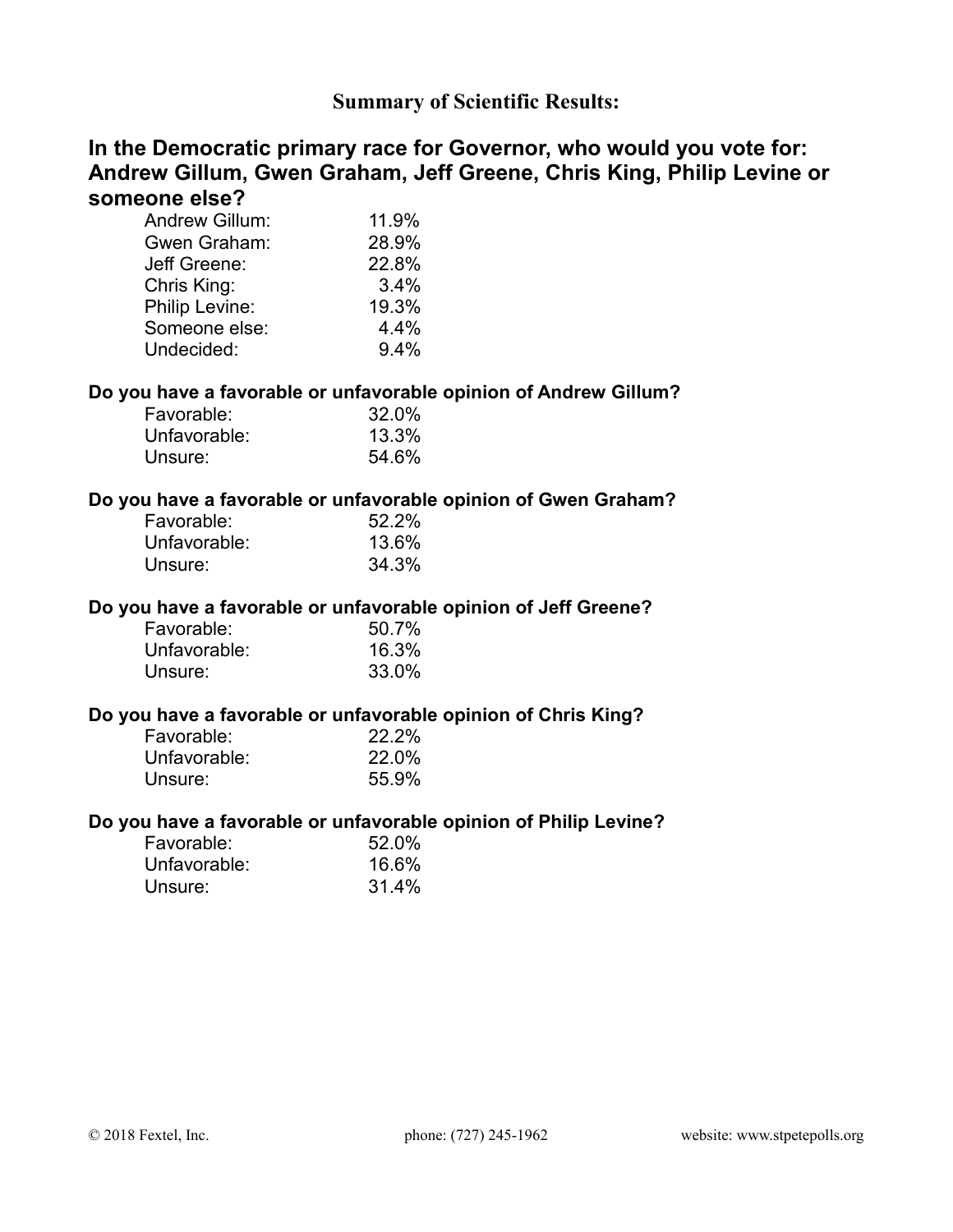## **Summary of Scientific Results:**

## **In the Democratic primary race for Governor, who would you vote for: Andrew Gillum, Gwen Graham, Jeff Greene, Chris King, Philip Levine or someone else?**

| <b>Andrew Gillum:</b> | 11.9% |
|-----------------------|-------|
| Gwen Graham:          | 28.9% |
| Jeff Greene:          | 22.8% |
| Chris King:           | 3.4%  |
| Philip Levine:        | 19.3% |
| Someone else:         | 4.4%  |
| Undecided:            | 9.4%  |

### **Do you have a favorable or unfavorable opinion of Andrew Gillum?**

| Favorable:   | 32.0% |
|--------------|-------|
| Unfavorable: | 13.3% |
| Unsure:      | 54.6% |

## **Do you have a favorable or unfavorable opinion of Gwen Graham?**

| Favorable:   | 52.2% |
|--------------|-------|
| Unfavorable: | 13.6% |
| Unsure:      | 34.3% |

#### **Do you have a favorable or unfavorable opinion of Jeff Greene?**

| Favorable:   | 50.7% |
|--------------|-------|
| Unfavorable: | 16.3% |
| Unsure:      | 33.0% |

### **Do you have a favorable or unfavorable opinion of Chris King?**

| Favorable:   | 22.2% |
|--------------|-------|
| Unfavorable: | 22.0% |
| Unsure:      | 55.9% |

#### **Do you have a favorable or unfavorable opinion of Philip Levine?**

| Favorable:   | 52.0% |
|--------------|-------|
| Unfavorable: | 16.6% |
| Unsure:      | 31.4% |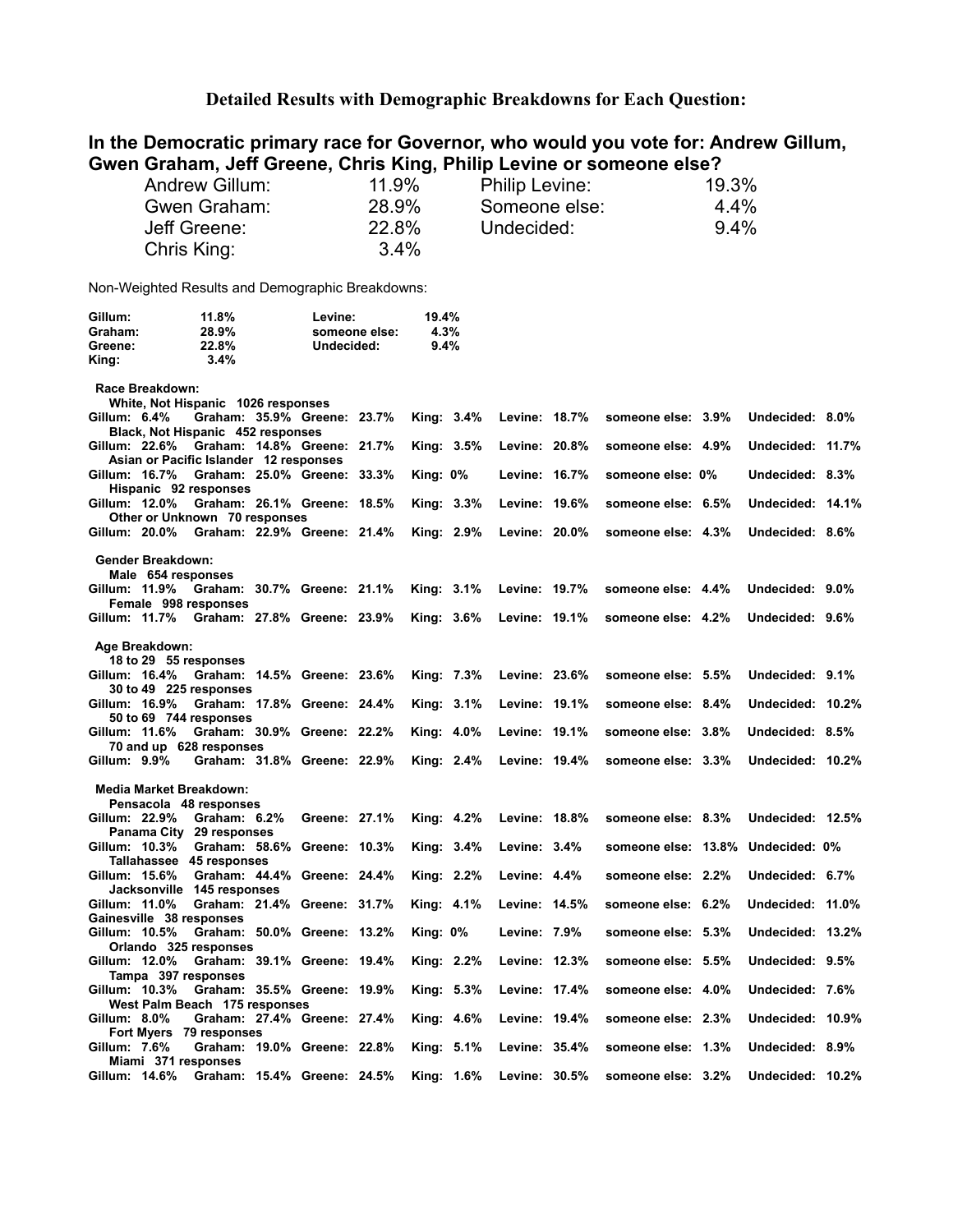#### **Detailed Results with Demographic Breakdowns for Each Question:**

### **In the Democratic primary race for Governor, who would you vote for: Andrew Gillum, Gwen Graham, Jeff Greene, Chris King, Philip Levine or someone else?**

| Andrew Gillum: | 11.9%   | <b>Philip Levine:</b> | 19.3%   |
|----------------|---------|-----------------------|---------|
| Gwen Graham:   | 28.9%   | Someone else:         | 4.4%    |
| Jeff Greene:   | 22.8%   | Undecided:            | $9.4\%$ |
| Chris King:    | $3.4\%$ |                       |         |

Non-Weighted Results and Demographic Breakdowns:

| Gillum: | 11.8%   | Levine:       | 19.4%   |
|---------|---------|---------------|---------|
| Graham: | 28.9%   | someone else: | 4.3%    |
| Greene: | 22.8%   | Undecided:    | $9.4\%$ |
| King:   | $3.4\%$ |               |         |

 **Race Breakdown:**

|              |                          | White, Not Hispanic 1026 responses                                         |               |                 |            |                 |                                   |                  |  |
|--------------|--------------------------|----------------------------------------------------------------------------|---------------|-----------------|------------|-----------------|-----------------------------------|------------------|--|
| Gillum: 6.4% |                          | Graham: 35.9% Greene: 23.7%                                                |               |                 | King: 3.4% | Levine: 18.7%   | someone else: 3.9%                | Undecided: 8.0%  |  |
|              |                          | Black, Not Hispanic 452 responses                                          |               |                 |            |                 |                                   |                  |  |
|              |                          | Gillum: 22.6% Graham: 14.8% Greene: 21.7%                                  |               | King: 3.5%      |            | Levine: 20.8%   | someone else: 4.9%                | Undecided: 11.7% |  |
|              |                          | Asian or Pacific Islander 12 responses                                     |               |                 |            |                 |                                   |                  |  |
|              | Gillum: 16.7%            | Graham: 25.0% Greene: 33.3%                                                |               | King: $0\%$     |            | Levine: 16.7%   | someone else: 0%                  | Undecided: 8.3%  |  |
|              |                          | Hispanic 92 responses                                                      |               |                 |            |                 |                                   |                  |  |
|              | Gillum: 12.0%            | Graham: 26.1% Greene: 18.5%                                                |               | King: 3.3%      |            | Levine: 19.6%   | someone else: 6.5%                | Undecided: 14.1% |  |
|              |                          | Other or Unknown 70 responses<br>Gillum: 20.0% Graham: 22.9% Greene: 21.4% |               |                 | King: 2.9% | Levine: 20.0%   | someone else: 4.3%                | Undecided: 8.6%  |  |
|              |                          |                                                                            |               |                 |            |                 |                                   |                  |  |
|              | <b>Gender Breakdown:</b> |                                                                            |               |                 |            |                 |                                   |                  |  |
|              | Male 654 responses       |                                                                            |               |                 |            |                 |                                   |                  |  |
|              |                          | Gillum: 11.9% Graham: 30.7% Greene: 21.1%                                  |               | King: $3.1\%$   |            | Levine: 19.7%   | someone else: 4.4%                | Undecided: 9.0%  |  |
|              |                          | Female 998 responses                                                       |               |                 |            |                 |                                   |                  |  |
|              |                          | Gillum: 11.7% Graham: 27.8% Greene: 23.9%                                  |               | King: 3.6%      |            | Levine: 19.1%   | someone else: 4.2%                | Undecided: 9.6%  |  |
|              |                          |                                                                            |               |                 |            |                 |                                   |                  |  |
|              | Age Breakdown:           |                                                                            |               |                 |            |                 |                                   |                  |  |
|              |                          | 18 to 29 55 responses                                                      |               |                 |            |                 |                                   |                  |  |
|              | Gillum: 16.4%            | Graham: 14.5% Greene: 23.6%                                                |               | King: 7.3%      |            | Levine: 23.6%   | someone else: 5.5%                | Undecided: 9.1%  |  |
|              |                          | 30 to 49 225 responses                                                     |               |                 |            |                 |                                   |                  |  |
|              | Gillum: 16.9%            | Graham: 17.8% Greene: 24.4%                                                |               | King: 3.1%      |            | Levine: 19.1%   | someone else: 8.4%                | Undecided: 10.2% |  |
|              | Gillum: 11.6%            | 50 to 69 744 responses<br>Graham: 30.9% Greene: 22.2%                      |               |                 |            | Levine: 19.1%   |                                   | Undecided: 8.5%  |  |
|              |                          | 70 and up 628 responses                                                    |               | King: 4.0%      |            |                 | someone else: 3.8%                |                  |  |
| Gillum: 9.9% |                          | Graham: 31.8% Greene: 22.9%                                                |               |                 | King: 2.4% | Levine: 19.4%   | someone else: 3.3%                | Undecided: 10.2% |  |
|              |                          |                                                                            |               |                 |            |                 |                                   |                  |  |
|              |                          | <b>Media Market Breakdown:</b>                                             |               |                 |            |                 |                                   |                  |  |
|              |                          | Pensacola 48 responses                                                     |               |                 |            |                 |                                   |                  |  |
|              | Gillum: 22.9%            | Graham: 6.2%                                                               | Greene: 27.1% | King: 4.2%      |            | Levine: 18.8%   | someone else: 8.3%                | Undecided: 12.5% |  |
|              |                          | Panama City 29 responses                                                   |               |                 |            |                 |                                   |                  |  |
|              |                          | Gillum: 10.3% Graham: 58.6% Greene: 10.3%                                  |               |                 | King: 3.4% | Levine: $3.4\%$ | someone else: 13.8% Undecided: 0% |                  |  |
|              |                          | Tallahassee 45 responses                                                   |               |                 |            |                 |                                   |                  |  |
|              |                          | Gillum: 15.6% Graham: 44.4% Greene: 24.4%                                  |               | King: 2.2%      |            | Levine: $4.4\%$ | someone else: 2.2%                | Undecided: 6.7%  |  |
|              |                          | Jacksonville 145 responses                                                 |               |                 |            |                 |                                   |                  |  |
|              | Gillum: 11.0%            | Graham: 21.4% Greene: 31.7%                                                |               | King: 4.1%      |            | Levine: 14.5%   | someone else: 6.2%                | Undecided: 11.0% |  |
|              | Gillum: 10.5%            | Gainesville 38 responses<br>Graham: 50.0% Greene: 13.2%                    |               | <b>King: 0%</b> |            | Levine: 7.9%    | someone else: 5.3%                | Undecided: 13.2% |  |
|              |                          | Orlando 325 responses                                                      |               |                 |            |                 |                                   |                  |  |
|              | Gillum: 12.0%            | Graham: 39.1% Greene: 19.4%                                                |               |                 | King: 2.2% | Levine: 12.3%   | someone else: 5.5%                | Undecided: 9.5%  |  |
|              |                          | Tampa 397 responses                                                        |               |                 |            |                 |                                   |                  |  |
|              | Gillum: 10.3%            | Graham: 35.5% Greene: 19.9%                                                |               | King: 5.3%      |            | Levine: 17.4%   | someone else: 4.0%                | Undecided: 7.6%  |  |
|              |                          | West Palm Beach 175 responses                                              |               |                 |            |                 |                                   |                  |  |
| Gillum: 8.0% |                          | Graham: 27.4% Greene: 27.4%                                                |               | King: 4.6%      |            | Levine: 19.4%   | someone else: 2.3%                | Undecided: 10.9% |  |
|              |                          | Fort Myers 79 responses                                                    |               |                 |            |                 |                                   |                  |  |
| Gillum: 7.6% |                          | Graham: 19.0% Greene: 22.8%                                                |               | King: 5.1%      |            | Levine: 35.4%   | someone else: 1.3%                | Undecided: 8.9%  |  |
|              |                          | Miami 371 responses                                                        |               |                 |            |                 |                                   |                  |  |
|              |                          | Gillum: 14.6% Graham: 15.4% Greene: 24.5%                                  |               | King: 1.6%      |            | Levine: 30.5%   | someone else: 3.2%                | Undecided: 10.2% |  |
|              |                          |                                                                            |               |                 |            |                 |                                   |                  |  |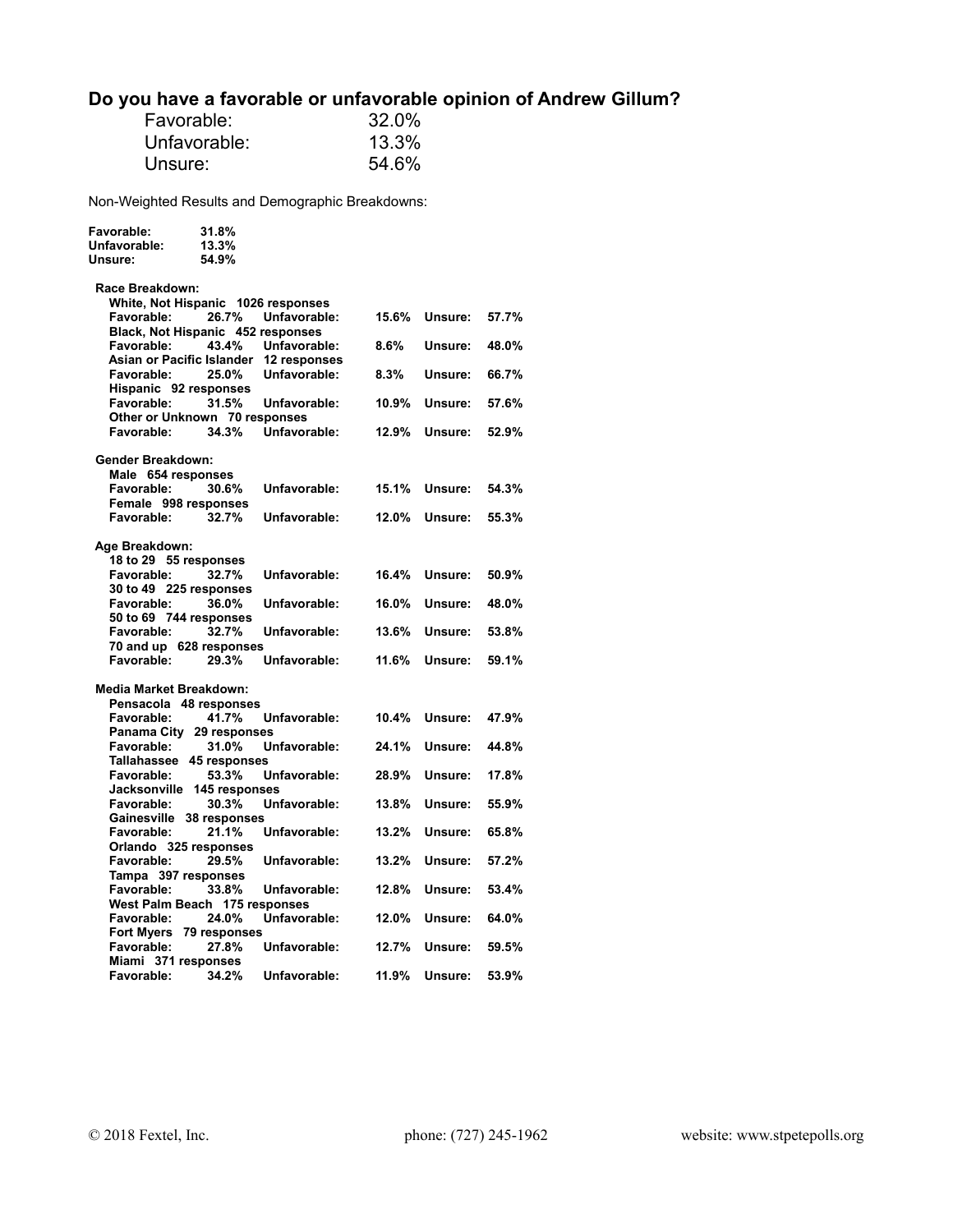# **Do you have a favorable or unfavorable opinion of Andrew Gillum?**

| Favorable:   | 32.0% |
|--------------|-------|
| Unfavorable: | 13.3% |
| Unsure:      | 54.6% |

Non-Weighted Results and Demographic Breakdowns:

**Favorable: 31.8%** 

| Unfavorable:<br>Unsure:                  | 13.3%<br>54.9% |                                        |         |         |       |
|------------------------------------------|----------------|----------------------------------------|---------|---------|-------|
| Race Breakdown:                          |                |                                        |         |         |       |
| White, Not Hispanic 1026 responses       |                |                                        |         |         |       |
| <b>Favorable:</b>                        | 26.7%          | Unfavorable:                           | 15.6%   | Unsure: | 57.7% |
| Black, Not Hispanic 452 responses        |                |                                        |         |         |       |
| Favorable:                               | 43.4%          | Unfavorable:                           | $8.6\%$ | Unsure: | 48.0% |
|                                          |                | Asian or Pacific Islander 12 responses |         |         |       |
| Favorable:                               | 25.0%          | Unfavorable:                           | 8.3%    | Unsure: | 66.7% |
| Hispanic 92 responses                    |                |                                        |         |         |       |
| Favorable:                               | 31.5%          | Unfavorable:                           | 10.9%   | Unsure: | 57.6% |
| Other or Unknown 70 responses            |                |                                        |         |         |       |
| Favorable:                               | 34.3%          | Unfavorable:                           | 12.9%   | Unsure: | 52.9% |
|                                          |                |                                        |         |         |       |
| Gender Breakdown:                        |                |                                        |         |         |       |
| Male 654 responses                       |                |                                        |         |         |       |
| Favorable:                               | 30.6%          | Unfavorable:                           | 15.1%   | Unsure: | 54.3% |
| Female 998 responses                     |                |                                        |         |         |       |
| Favorable:                               | 32.7%          | Unfavorable:                           | 12.0%   | Unsure: | 55.3% |
|                                          |                |                                        |         |         |       |
| Age Breakdown:                           |                |                                        |         |         |       |
| 18 to 29 55 responses                    |                |                                        |         |         |       |
| <b>Favorable:</b>                        | 32.7%          | Unfavorable:                           | 16.4%   | Unsure: | 50.9% |
| 30 to 49 225 responses                   |                |                                        |         |         |       |
| Favorable:                               | 36.0%          | Unfavorable:                           | 16.0%   | Unsure: | 48.0% |
| 50 to 69 744 responses                   |                |                                        |         |         |       |
| <b>Favorable:</b>                        | 32.7%          | Unfavorable:                           | 13.6%   | Unsure: | 53.8% |
| 70 and up 628 responses                  |                |                                        |         |         |       |
| Favorable:                               | 29.3%          | Unfavorable:                           | 11.6%   | Unsure: | 59.1% |
|                                          |                |                                        |         |         |       |
| Media Market Breakdown:                  |                |                                        |         |         |       |
| Pensacola 48 responses                   |                |                                        |         |         |       |
| Favorable:                               | 41.7%          | Unfavorable:                           | 10.4%   | Unsure: | 47.9% |
| Panama City 29 responses                 |                |                                        |         |         |       |
| Favorable:                               | 31.0%          | Unfavorable:                           | 24.1%   | Unsure: | 44.8% |
| Tallahassee 45 responses                 |                |                                        |         |         |       |
| Favorable:                               | 53.3%          | Unfavorable:                           | 28.9%   | Unsure: | 17.8% |
| Jacksonville 145 responses<br>Favorable: | 30.3%          | Unfavorable:                           | 13.8%   | Unsure: | 55.9% |
| Gainesville 38 responses                 |                |                                        |         |         |       |
| Favorable:                               | 21.1%          | Unfavorable:                           | 13.2%   | Unsure: | 65.8% |
| Orlando 325 responses                    |                |                                        |         |         |       |
| Favorable:                               | 29.5%          | Unfavorable:                           | 13.2%   | Unsure: | 57.2% |
| Tampa 397 responses                      |                |                                        |         |         |       |
| Favorable:                               | 33.8%          | Unfavorable:                           | 12.8%   | Unsure: | 53.4% |
| West Palm Beach 175 responses            |                |                                        |         |         |       |
| Favorable:                               | 24.0%          | Unfavorable:                           | 12.0%   | Unsure: | 64.0% |
| Fort Myers 79 responses                  |                |                                        |         |         |       |
| Favorable:                               | 27.8%          | Unfavorable:                           | 12.7%   | Unsure: | 59.5% |
| Miami 371 responses                      |                |                                        |         |         |       |
| Favorable:                               | 34.2%          | Unfavorable:                           | 11.9%   | Unsure: | 53.9% |
|                                          |                |                                        |         |         |       |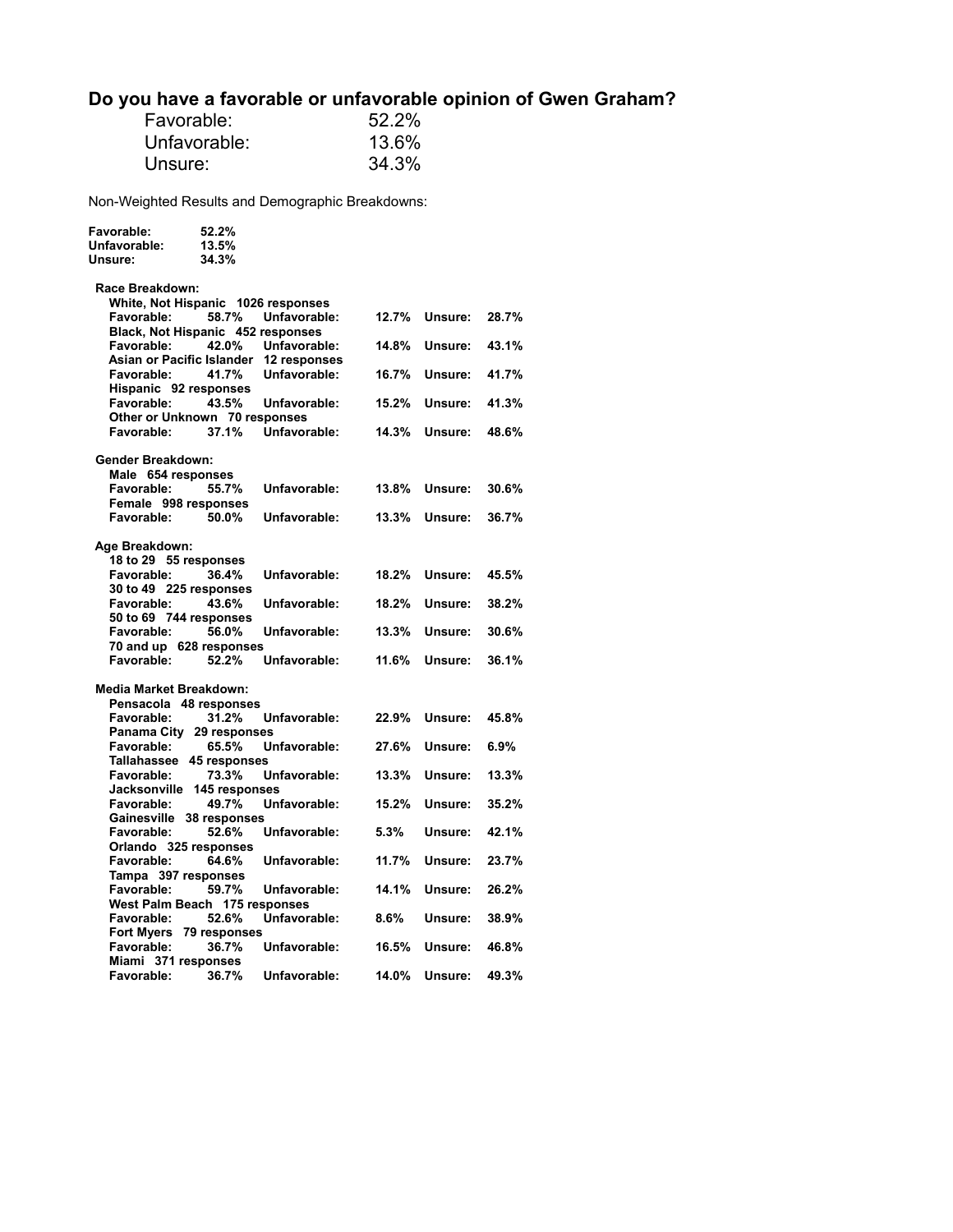# **Do you have a favorable or unfavorable opinion of Gwen Graham?**

| Favorable:   | 52.2% |
|--------------|-------|
| Unfavorable: | 13.6% |
| Unsure:      | 34.3% |

Non-Weighted Results and Demographic Breakdowns:

**Favorable: 52.2%** 

| Unfavorable:<br>Unsure:                         | 13.5%<br>34.3% |                                                        |       |         |       |
|-------------------------------------------------|----------------|--------------------------------------------------------|-------|---------|-------|
| Race Breakdown:                                 |                |                                                        |       |         |       |
| White, Not Hispanic 1026 responses              |                |                                                        |       |         |       |
| Favorable:<br>Black, Not Hispanic 452 responses | 58.7%          | Unfavorable:                                           | 12.7% | Unsure: | 28.7% |
| Favorable:                                      | 42.0%          | Unfavorable:                                           | 14.8% | Unsure: | 43.1% |
| Favorable:                                      | 41.7%          | Asian or Pacific Islander 12 responses<br>Unfavorable: | 16.7% | Unsure: | 41.7% |
| Hispanic 92 responses                           |                |                                                        |       |         |       |
| Favorable:                                      | 43.5%          | Unfavorable:                                           | 15.2% | Unsure: | 41.3% |
| Other or Unknown 70 responses                   |                |                                                        |       |         |       |
| Favorable:                                      | 37.1%          | Unfavorable:                                           | 14.3% | Unsure: | 48.6% |
| Gender Breakdown:                               |                |                                                        |       |         |       |
| Male 654 responses                              |                |                                                        |       |         |       |
| Favorable:                                      | 55.7%          | Unfavorable:                                           | 13.8% | Unsure: | 30.6% |
| Female 998 responses<br>Favorable:              | 50.0%          | Unfavorable:                                           | 13.3% | Unsure: | 36.7% |
|                                                 |                |                                                        |       |         |       |
| Age Breakdown:                                  |                |                                                        |       |         |       |
| 18 to 29 55 responses                           |                |                                                        |       |         |       |
| <b>Favorable:</b>                               | 36.4%          | Unfavorable:                                           | 18.2% | Unsure: | 45.5% |
| 30 to 49 225 responses                          |                |                                                        |       |         |       |
| <b>Favorable:</b>                               | 43.6%          | Unfavorable:                                           | 18.2% | Unsure: | 38.2% |
| 50 to 69 744 responses                          |                |                                                        |       |         |       |
| Favorable:                                      | 56.0%          | Unfavorable:                                           | 13.3% | Unsure: | 30.6% |
| 70 and up 628 responses<br>Favorable:           | 52.2%          | Unfavorable:                                           | 11.6% | Unsure: | 36.1% |
|                                                 |                |                                                        |       |         |       |
| Media Market Breakdown:                         |                |                                                        |       |         |       |
| Pensacola 48 responses                          |                |                                                        |       |         |       |
| Favorable:                                      | 31.2%          | Unfavorable:                                           | 22.9% | Unsure: | 45.8% |
| Panama City 29 responses                        |                |                                                        |       |         |       |
| Favorable:<br>Tallahassee 45 responses          | 65.5%          | Unfavorable:                                           | 27.6% | Unsure: | 6.9%  |
| Favorable:                                      | 73.3%          | Unfavorable:                                           | 13.3% | Unsure: | 13.3% |
| Jacksonville 145 responses                      |                |                                                        |       |         |       |
| Favorable:                                      | 49.7%          | Unfavorable:                                           | 15.2% | Unsure: | 35.2% |
| Gainesville 38 responses                        |                |                                                        |       |         |       |
| Favorable:                                      | 52.6%          | Unfavorable:                                           | 5.3%  | Unsure: | 42.1% |
| Orlando 325 responses                           |                |                                                        |       |         |       |
| <b>Favorable:</b>                               | 64.6%          | Unfavorable:                                           | 11.7% | Unsure: | 23.7% |
| Tampa 397 responses<br>Favorable:               | 59.7%          |                                                        | 14.1% | Unsure: | 26.2% |
| West Palm Beach 175 responses                   |                | Unfavorable:                                           |       |         |       |
| Favorable:                                      | 52.6%          | Unfavorable:                                           | 8.6%  | Unsure: | 38.9% |
| Fort Myers 79 responses                         |                |                                                        |       |         |       |
| <b>Favorable:</b>                               | 36.7%          | Unfavorable:                                           | 16.5% | Unsure: | 46.8% |
| Miami 371 responses                             |                |                                                        |       |         |       |
| Favorable:                                      | 36.7%          | Unfavorable:                                           | 14.0% | Unsure: | 49.3% |
|                                                 |                |                                                        |       |         |       |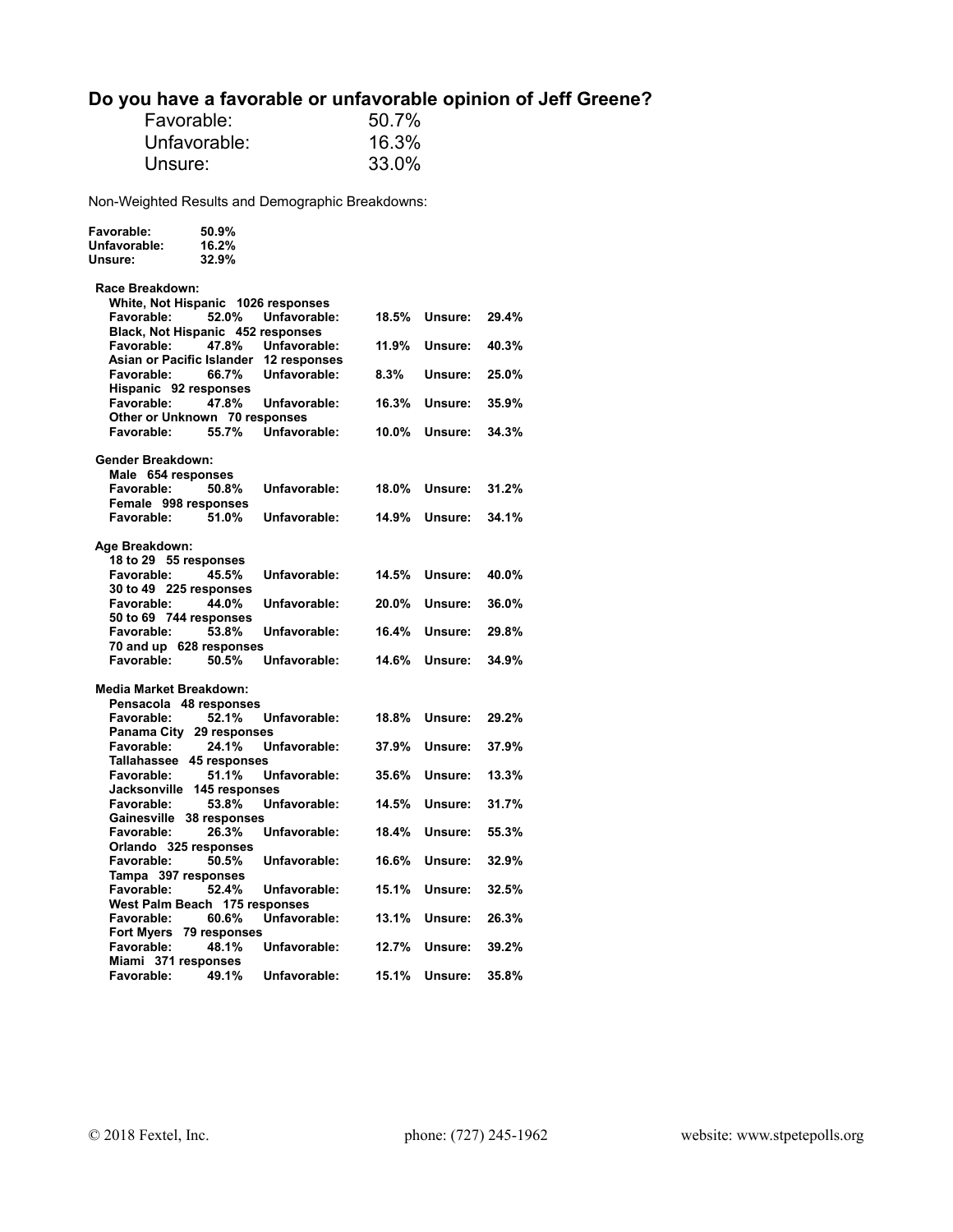# **Do you have a favorable or unfavorable opinion of Jeff Greene?**

| Favorable:   | 50.7% |
|--------------|-------|
| Unfavorable: | 16.3% |
| Unsure:      | 33.0% |

Non-Weighted Results and Demographic Breakdowns:

**Favorable: 50.9%** 

| Unfavorable:<br>Unsure:            | 16.2%<br>32.9%                    |                                        |       |         |       |
|------------------------------------|-----------------------------------|----------------------------------------|-------|---------|-------|
| Race Breakdown:                    |                                   |                                        |       |         |       |
| White, Not Hispanic 1026 responses |                                   |                                        |       |         |       |
| Favorable:                         | 52.0%                             | Unfavorable:                           | 18.5% | Unsure: | 29.4% |
|                                    | Black, Not Hispanic 452 responses |                                        |       |         |       |
| Favorable:                         | 47.8%                             | Unfavorable:                           | 11.9% | Unsure: | 40.3% |
|                                    |                                   | Asian or Pacific Islander 12 responses |       |         |       |
| Favorable:                         | 66.7%                             | Unfavorable:                           | 8.3%  | Unsure: | 25.0% |
| Hispanic 92 responses              |                                   |                                        |       |         |       |
| Favorable:                         | 47.8%                             | Unfavorable:                           | 16.3% | Unsure: | 35.9% |
|                                    | Other or Unknown 70 responses     |                                        |       |         |       |
| Favorable:                         | 55.7%                             | Unfavorable:                           | 10.0% | Unsure: | 34.3% |
| <b>Gender Breakdown:</b>           |                                   |                                        |       |         |       |
| Male 654 responses                 |                                   |                                        |       |         |       |
| Favorable:                         | 50.8%                             | Unfavorable:                           | 18.0% | Unsure: | 31.2% |
| Female 998 responses               |                                   |                                        |       |         |       |
| Favorable:                         | 51.0%                             | Unfavorable:                           | 14.9% | Unsure: | 34.1% |
| Age Breakdown:                     |                                   |                                        |       |         |       |
| 18 to 29 55 responses              |                                   |                                        |       |         |       |
| Favorable:                         | 45.5%                             | Unfavorable:                           | 14.5% | Unsure: | 40.0% |
| 30 to 49 225 responses             |                                   |                                        |       |         |       |
| Favorable:                         | 44.0%                             | Unfavorable:                           | 20.0% | Unsure: | 36.0% |
| 50 to 69 744 responses             |                                   |                                        |       |         |       |
| Favorable:                         | 53.8%                             | Unfavorable:                           | 16.4% | Unsure: | 29.8% |
|                                    | 70 and up 628 responses           |                                        |       |         |       |
| Favorable:                         | 50.5%                             | Unfavorable:                           | 14.6% | Unsure: | 34.9% |
| Media Market Breakdown:            |                                   |                                        |       |         |       |
| Pensacola 48 responses             |                                   |                                        |       |         |       |
| Favorable:                         | 52.1%                             | Unfavorable:                           | 18.8% | Unsure: | 29.2% |
|                                    | Panama City 29 responses          |                                        |       |         |       |
| Favorable:                         | 24.1%                             | Unfavorable:                           | 37.9% | Unsure: | 37.9% |
|                                    | Tallahassee 45 responses          |                                        |       |         |       |
| Favorable:                         | 51.1%                             | Unfavorable:                           | 35.6% | Unsure: | 13.3% |
|                                    | Jacksonville 145 responses        |                                        |       |         |       |
| Favorable:                         | 53.8%                             | Unfavorable:                           | 14.5% | Unsure: | 31.7% |
|                                    | Gainesville 38 responses          |                                        |       |         |       |
| Favorable:                         | 26.3%                             | Unfavorable:                           | 18.4% | Unsure: | 55.3% |
| Orlando 325 responses              |                                   |                                        |       |         |       |
| Favorable:                         | 50.5%                             | Unfavorable:                           | 16.6% | Unsure: | 32.9% |
| Tampa 397 responses                |                                   |                                        |       |         |       |
| Favorable:                         | 52.4%                             | Unfavorable:                           | 15.1% | Unsure: | 32.5% |
| West Palm Beach 175 responses      |                                   |                                        |       |         |       |
| Favorable:                         | 60.6%                             | Unfavorable:                           | 13.1% | Unsure: | 26.3% |
|                                    | Fort Myers 79 responses           |                                        |       |         |       |
| Favorable:                         | 48.1%                             | Unfavorable:                           | 12.7% | Unsure: | 39.2% |
| Miami 371 responses                |                                   |                                        |       |         |       |
| Favorable:                         | 49.1%                             | Unfavorable:                           | 15.1% | Unsure: | 35.8% |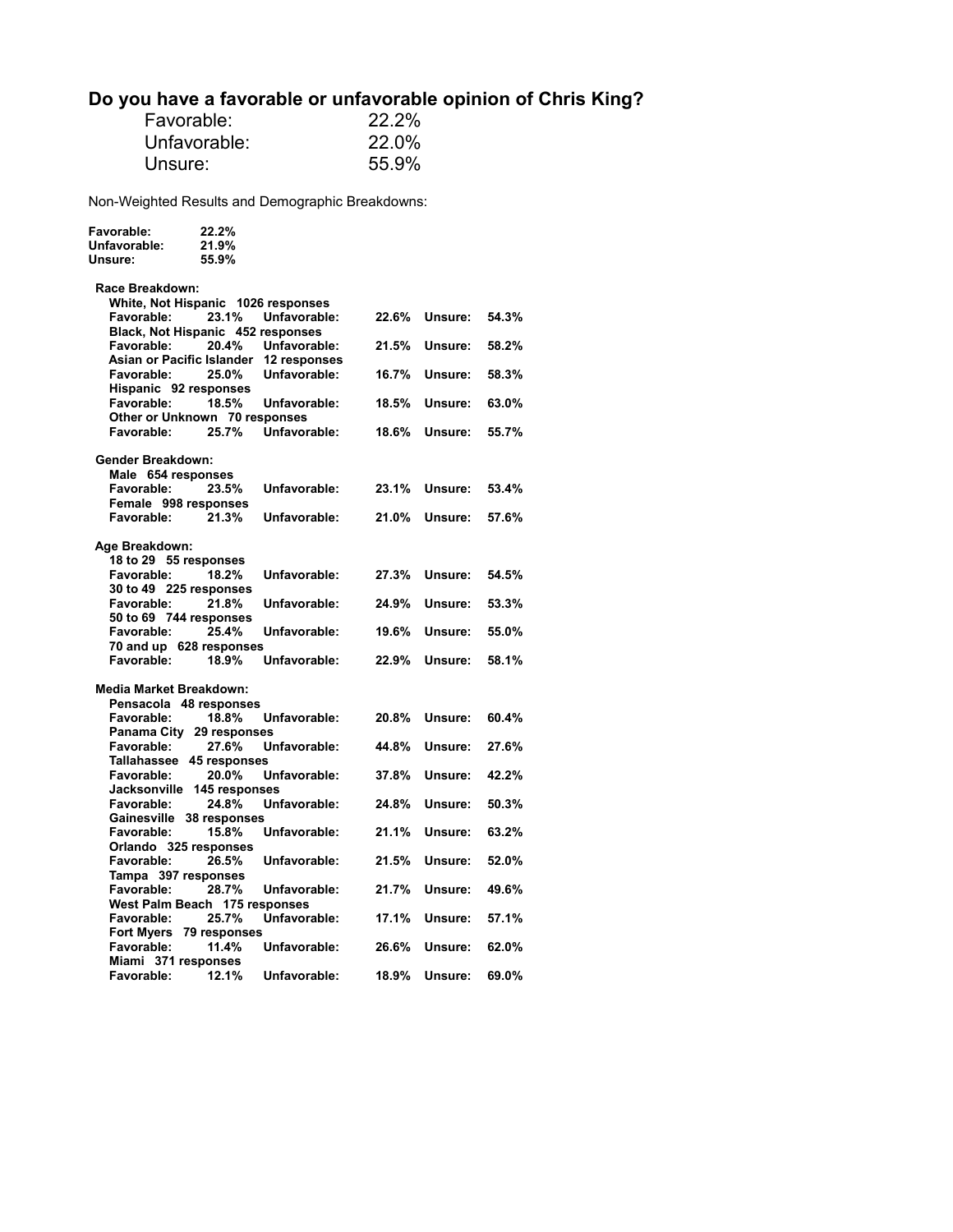# **Do you have a favorable or unfavorable opinion of Chris King?**

| Favorable:   | 22.2% |
|--------------|-------|
| Unfavorable: | 22.0% |
| Unsure:      | 55.9% |

Non-Weighted Results and Demographic Breakdowns:

| Favorable:                             | 22.2% |              |       |         |       |
|----------------------------------------|-------|--------------|-------|---------|-------|
| Unfavorable:                           | 21.9% |              |       |         |       |
| Unsure:                                | 55.9% |              |       |         |       |
|                                        |       |              |       |         |       |
| Race Breakdown:                        |       |              |       |         |       |
| White, Not Hispanic 1026 responses     |       |              |       |         |       |
| Favorable:                             | 23.1% | Unfavorable: | 22.6% | Unsure: | 54.3% |
| Black, Not Hispanic 452 responses      |       |              |       |         |       |
| Favorable:                             | 20.4% | Unfavorable: | 21.5% | Unsure: | 58.2% |
| Asian or Pacific Islander 12 responses |       |              |       |         |       |
| Favorable:                             | 25.0% | Unfavorable: | 16.7% | Unsure: | 58.3% |
| Hispanic 92 responses                  |       |              |       |         |       |
| Favorable:                             | 18.5% | Unfavorable: | 18.5% | Unsure: | 63.0% |
| Other or Unknown 70 responses          |       |              |       |         |       |
| Favorable:                             | 25.7% | Unfavorable: | 18.6% | Unsure: | 55.7% |
|                                        |       |              |       |         |       |
| <b>Gender Breakdown:</b>               |       |              |       |         |       |
| Male 654 responses                     |       |              |       |         |       |
| <b>Favorable:</b>                      | 23.5% | Unfavorable: | 23.1% | Unsure: | 53.4% |
| Female 998 responses                   |       |              |       |         |       |
| Favorable:                             | 21.3% | Unfavorable: | 21.0% | Unsure: | 57.6% |
|                                        |       |              |       |         |       |
| Age Breakdown:                         |       |              |       |         |       |
| 18 to 29 55 responses                  |       |              |       |         |       |
| Favorable:                             | 18.2% | Unfavorable: | 27.3% | Unsure: | 54.5% |
| 30 to 49 225 responses                 |       |              |       |         |       |
| Favorable:                             | 21.8% | Unfavorable: | 24.9% | Unsure: | 53.3% |
| 50 to 69 744 responses                 |       |              |       |         |       |
| <b>Favorable:</b>                      | 25.4% | Unfavorable: | 19.6% | Unsure: | 55.0% |
| 70 and up 628 responses                |       |              |       |         |       |
| Favorable:                             | 18.9% | Unfavorable: | 22.9% | Unsure: | 58.1% |
|                                        |       |              |       |         |       |
| <b>Media Market Breakdown:</b>         |       |              |       |         |       |
| Pensacola 48 responses                 |       |              |       |         |       |
| Favorable:                             | 18.8% | Unfavorable: | 20.8% | Unsure: | 60.4% |
|                                        |       |              |       |         |       |
| Panama City 29 responses<br>Favorable: | 27.6% | Unfavorable: | 44.8% | Unsure: | 27.6% |
|                                        |       |              |       |         |       |
| Tallahassee 45 responses               |       |              |       |         |       |
| Favorable:                             | 20.0% | Unfavorable: | 37.8% | Unsure: | 42.2% |
| Jacksonville 145 responses             |       |              |       |         |       |
| Favorable:                             | 24.8% | Unfavorable: | 24.8% | Unsure: | 50.3% |
| Gainesville 38 responses               |       |              |       |         |       |
| Favorable:                             | 15.8% | Unfavorable: | 21.1% | Unsure: | 63.2% |
| Orlando 325 responses                  |       |              |       |         |       |
| Favorable:                             | 26.5% | Unfavorable: | 21.5% | Unsure: | 52.0% |
| Tampa 397 responses                    |       |              |       |         |       |
| Favorable:                             | 28.7% | Unfavorable: | 21.7% | Unsure: | 49.6% |
| West Palm Beach 175 responses          |       |              |       |         |       |
| Favorable:                             | 25.7% | Unfavorable: | 17.1% | Unsure: | 57.1% |
| Fort Myers 79 responses                |       |              |       |         |       |
| Favorable:                             | 11.4% | Unfavorable: | 26.6% | Unsure: | 62.0% |
| Miami 371 responses                    |       |              |       |         |       |
| <b>Favorable:</b>                      | 12.1% | Unfavorable: | 18.9% | Unsure: | 69.0% |